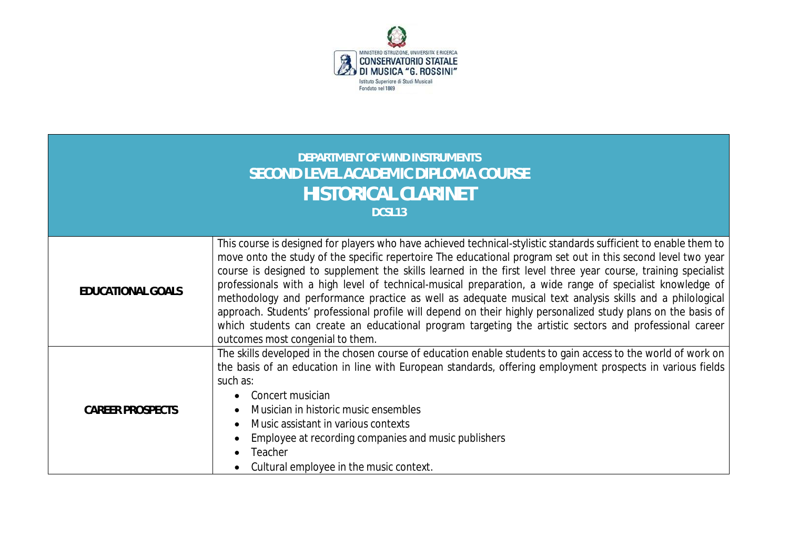

| DEPARTMENT OF WIND INSTRUMENTS<br><b>SECOND LEVEL ACADEMIC DIPLOMA COURSE</b><br><b>HISTORICAL CLARINET</b><br>DCSL13 |                                                                                                                                                                                                                                                                                                                                                                                                                                                                                                                                                                                                                                                                                                                                                                                                                                            |  |  |  |  |  |  |
|-----------------------------------------------------------------------------------------------------------------------|--------------------------------------------------------------------------------------------------------------------------------------------------------------------------------------------------------------------------------------------------------------------------------------------------------------------------------------------------------------------------------------------------------------------------------------------------------------------------------------------------------------------------------------------------------------------------------------------------------------------------------------------------------------------------------------------------------------------------------------------------------------------------------------------------------------------------------------------|--|--|--|--|--|--|
| EDUCATIONAL GOALS                                                                                                     | This course is designed for players who have achieved technical-stylistic standards sufficient to enable them to<br>move onto the study of the specific repertoire The educational program set out in this second level two year<br>course is designed to supplement the skills learned in the first level three year course, training specialist<br>professionals with a high level of technical-musical preparation, a wide range of specialist knowledge of<br>methodology and performance practice as well as adequate musical text analysis skills and a philological<br>approach. Students' professional profile will depend on their highly personalized study plans on the basis of<br>which students can create an educational program targeting the artistic sectors and professional career<br>outcomes most congenial to them. |  |  |  |  |  |  |
| <b>CAREER PROSPECTS</b>                                                                                               | The skills developed in the chosen course of education enable students to gain access to the world of work on<br>the basis of an education in line with European standards, offering employment prospects in various fields<br>such as:<br>Concert musician<br>$\bullet$<br>Musician in historic music ensembles<br>$\bullet$<br>Music assistant in various contexts<br>$\bullet$<br>Employee at recording companies and music publishers<br>Teacher<br>Cultural employee in the music context.                                                                                                                                                                                                                                                                                                                                            |  |  |  |  |  |  |